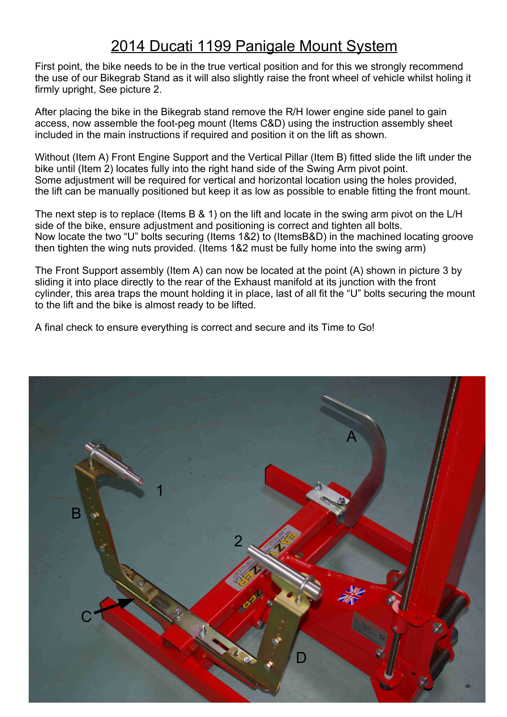## 2014 Ducati 1199 Panigale Mount System

First point, the bike needs to be in the true vertical position and for this we strongly recommend the use of our Bikegrab Stand as it will also slightly raise the front wheel of vehicle whilst holing it firmly upright, See picture 2.

After placing the bike in the Bikegrab stand remove the R/H lower engine side panel to gain access, now assemble the foot-peg mount (Items C&D) using the instruction assembly sheet included in the main instructions if required and position it on the lift as shown.

Without (Item A) Front Engine Support and the Vertical Pillar (Item B) fitted slide the lift under the bike until (Item 2) locates fully into the right hand side of the Swing Arm pivot point. Some adjustment will be required for vertical and horizontal location using the holes provided, the lift can be manually positioned but keep it as low as possible to enable fitting the front mount.

The next step is to replace (Items B & 1) on the lift and locate in the swing arm pivot on the L/H side of the bike, ensure adjustment and positioning is correct and tighten all bolts. Now locate the two "U" bolts securing (Items 1&2) to (ItemsB&D) in the machined locating groove then tighten the wing nuts provided. (Items 1&2 must be fully home into the swing arm)

The Front Support assembly (Item A) can now be located at the point (A) shown in picture 3 by sliding it into place directly to the rear of the Exhaust manifold at its junction with the front cylinder, this area traps the mount holding it in place, last of all fit the "U" bolts securing the mount to the lift and the bike is almost ready to be lifted.

A final check to ensure everything is correct and secure and its Time to Go!